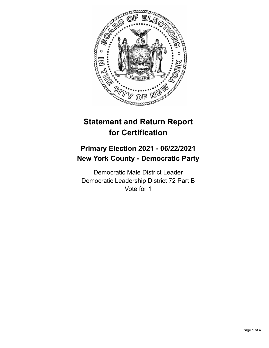

# **Statement and Return Report for Certification**

## **Primary Election 2021 - 06/22/2021 New York County - Democratic Party**

Democratic Male District Leader Democratic Leadership District 72 Part B Vote for 1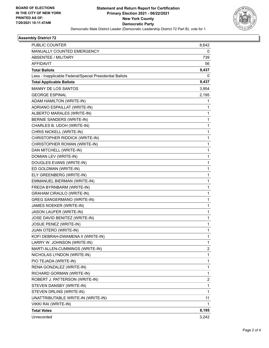

#### **Assembly District 72**

| <b>PUBLIC COUNTER</b>                                    | 8,642 |
|----------------------------------------------------------|-------|
| MANUALLY COUNTED EMERGENCY                               | 0     |
| <b>ABSENTEE / MILITARY</b>                               | 739   |
| <b>AFFIDAVIT</b>                                         | 56    |
| <b>Total Ballots</b>                                     | 9,437 |
| Less - Inapplicable Federal/Special Presidential Ballots | 0     |
| <b>Total Applicable Ballots</b>                          | 9,437 |
| <b>MANNY DE LOS SANTOS</b>                               | 3,954 |
| <b>GEORGE ESPINAL</b>                                    | 2,195 |
| ADAM HAMILTON (WRITE-IN)                                 | 1     |
| ADRIANO ESPAILLAT (WRITE-IN)                             | 1     |
| ALBERTO MARALES (WRITE-IN)                               | 1     |
| BERNIE SANDERS (WRITE-IN)                                | 1     |
| CHARLES B. UDOH (WRITE-IN)                               | 1     |
| CHRIS NICKELL (WRITE-IN)                                 | 1     |
| CHRISTOPHER RIDDICK (WRITE-IN)                           | 1     |
| CHRISTOPHER ROWAN (WRITE-IN)                             | 1     |
| DAN MITCHELL (WRITE-IN)                                  | 1     |
| DOMIAN LEV (WRITE-IN)                                    | 1     |
| DOUGLES EVANS (WRITE-IN)                                 | 1     |
| ED GOLDMAN (WRITE-IN)                                    | 1     |
| ELY GREENBERG (WRITE-IN)                                 | 1     |
| EMMANUEL BIERMAN (WRITE-IN)                              | 1     |
| FREDA BYRNBARM (WRITE-IN)                                | 1     |
| <b>GRAHAM CIRAULO (WRITE-IN)</b>                         | 1     |
| <b>GREG SANGERMANO (WRITE-IN)</b>                        | 1     |
| JAMES NOEKER (WRITE-IN)                                  | 1     |
| JASON LAUFER (WRITE-IN)                                  | 1     |
| JOSE DAVID BENITEZ (WRITE-IN)                            | 1     |
| JOSUE PENEZ (WRITE-IN)                                   | 1     |
| JUAN OTERO (WRITE-IN)                                    | 1     |
| KOFI DEBRAH-DWAMENA II (WRITE-IN)                        | 1     |
| LARRY W. JOHNSON (WRITE-IN)                              | 1     |
| MARTI ALLEN-CUMMINGS (WRITE-IN)                          | 2     |
| NICHOLAS LYNDON (WRITE-IN)                               | 1     |
| PIO TEJADA (WRITE-IN)                                    | 1     |
| RENA GONZALEZ (WRITE-IN)                                 | 1     |
| RICHARD GORMAN (WRITE-IN)                                | 1     |
| ROBERT J. PATTERSON (WRITE-IN)                           | 2     |
| STEVEN DANSBY (WRITE-IN)                                 | 1     |
| STEVEN DRLINS (WRITE-IN)                                 | 1     |
| UNATTRIBUTABLE WRITE-IN (WRITE-IN)                       | 11    |
| VIKKI RAI (WRITE-IN)                                     | 1     |
| <b>Total Votes</b>                                       | 6,195 |
| Unrecorded                                               | 3,242 |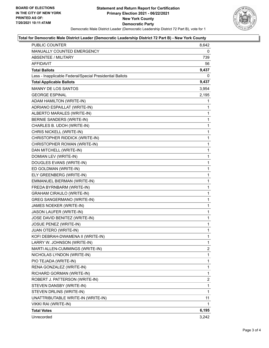

#### **Total for Democratic Male District Leader (Democratic Leadership District 72 Part B) - New York County**

| PUBLIC COUNTER                                           | 8,642          |
|----------------------------------------------------------|----------------|
| MANUALLY COUNTED EMERGENCY                               | 0              |
| ABSENTEE / MILITARY                                      | 739            |
| <b>AFFIDAVIT</b>                                         | 56             |
| <b>Total Ballots</b>                                     | 9,437          |
| Less - Inapplicable Federal/Special Presidential Ballots | 0              |
| <b>Total Applicable Ballots</b>                          | 9,437          |
| <b>MANNY DE LOS SANTOS</b>                               | 3,954          |
| <b>GEORGE ESPINAL</b>                                    | 2,195          |
| ADAM HAMILTON (WRITE-IN)                                 | 1              |
| ADRIANO ESPAILLAT (WRITE-IN)                             | 1              |
| ALBERTO MARALES (WRITE-IN)                               | 1              |
| BERNIE SANDERS (WRITE-IN)                                | 1              |
| CHARLES B. UDOH (WRITE-IN)                               | 1              |
| CHRIS NICKELL (WRITE-IN)                                 | 1              |
| CHRISTOPHER RIDDICK (WRITE-IN)                           | 1              |
| CHRISTOPHER ROWAN (WRITE-IN)                             | 1              |
| DAN MITCHELL (WRITE-IN)                                  | 1              |
| DOMIAN LEV (WRITE-IN)                                    | 1              |
| DOUGLES EVANS (WRITE-IN)                                 | 1              |
| ED GOLDMAN (WRITE-IN)                                    | 1              |
| ELY GREENBERG (WRITE-IN)                                 | 1              |
| EMMANUEL BIERMAN (WRITE-IN)                              | 1              |
| FREDA BYRNBARM (WRITE-IN)                                | 1              |
| <b>GRAHAM CIRAULO (WRITE-IN)</b>                         | 1              |
| <b>GREG SANGERMANO (WRITE-IN)</b>                        | 1              |
| JAMES NOEKER (WRITE-IN)                                  | 1              |
| JASON LAUFER (WRITE-IN)                                  | 1              |
| JOSE DAVID BENITEZ (WRITE-IN)                            | 1              |
| <b>JOSUE PENEZ (WRITE-IN)</b>                            | 1              |
| JUAN OTERO (WRITE-IN)                                    | 1              |
| KOFI DEBRAH-DWAMENA II (WRITE-IN)                        | 1              |
| LARRY W. JOHNSON (WRITE-IN)                              | 1              |
| MARTI ALLEN-CUMMINGS (WRITE-IN)                          | 2              |
| NICHOLAS LYNDON (WRITE-IN)                               | 1              |
| PIO TEJADA (WRITE-IN)                                    | 1              |
| RENA GONZALEZ (WRITE-IN)                                 | 1              |
| RICHARD GORMAN (WRITE-IN)                                | 1              |
| ROBERT J. PATTERSON (WRITE-IN)                           | $\overline{2}$ |
| STEVEN DANSBY (WRITE-IN)                                 | 1              |
| STEVEN DRLINS (WRITE-IN)                                 | 1              |
| UNATTRIBUTABLE WRITE-IN (WRITE-IN)                       | 11             |
| VIKKI RAI (WRITE-IN)                                     | 1              |
| <b>Total Votes</b>                                       | 6,195          |
| Unrecorded                                               | 3,242          |